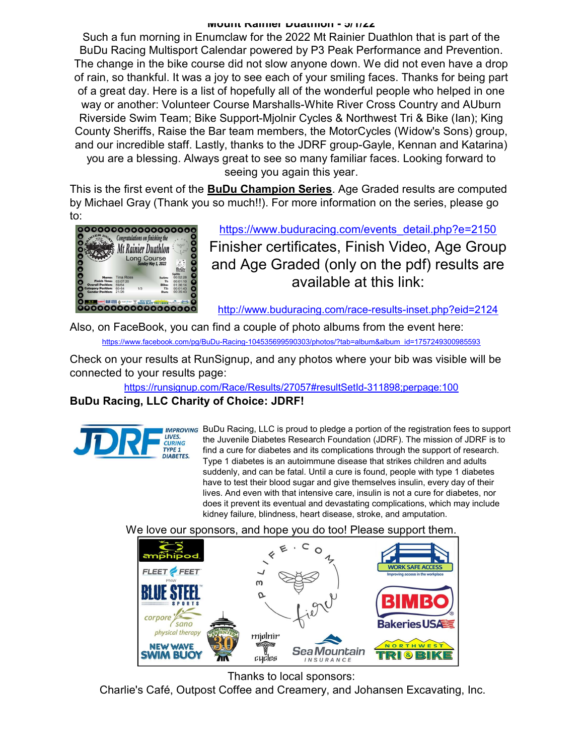#### Mount Rainier Duathlon - 5/1/22

Such a fun morning in Enumclaw for the 2022 Mt Rainier Duathlon that is part of the BuDu Racing Multisport Calendar powered by P3 Peak Performance and Prevention. The change in the bike course did not slow anyone down. We did not even have a drop of rain, so thankful. It was a joy to see each of your smiling faces. Thanks for being part of a great day. Here is a list of hopefully all of the wonderful people who helped in one way or another: Volunteer Course Marshalls-White River Cross Country and AUburn Riverside Swim Team; Bike Support-Mjolnir Cycles & Northwest Tri & Bike (Ian); King County Sheriffs, Raise the Bar team members, the MotorCycles (Widow's Sons) group, and our incredible staff. Lastly, thanks to the JDRF group-Gayle, Kennan and Katarina) you are a blessing. Always great to see so many familiar faces. Looking forward to seeing you again this year.

This is the first event of the **BuDu Champion Series**. Age Graded results are computed by Michael Gray (Thank you so much!!). For more information on the series, please go to:



https://www.buduracing.com/events\_detail.php?e=2150 Finisher certificates, Finish Video, Age Group and Age Graded (only on the pdf) results are available at this link:

http://www.buduracing.com/race-results-inset.php?eid=2124

Also, on FaceBook, you can find a couple of photo albums from the event here: https://www.facebook.com/pg/BuDu-Racing-104535699590303/photos/?tab=album&album\_id=1757249300985593

Check on your results at RunSignup, and any photos where your bib was visible will be connected to your results page:

https://runsignup.com/Race/Results/27057#resultSetId-311898;perpage:100

## BuDu Racing, LLC Charity of Choice: JDRF!

LIVES. **CURING TYPE 1 DIABETES.** 

IMPROVING BuDu Racing, LLC is proud to pledge a portion of the registration fees to support the Juvenile Diabetes Research Foundation (JDRF). The mission of JDRF is to find a cure for diabetes and its complications through the support of research. Type 1 diabetes is an autoimmune disease that strikes children and adults suddenly, and can be fatal. Until a cure is found, people with type 1 diabetes have to test their blood sugar and give themselves insulin, every day of their lives. And even with that intensive care, insulin is not a cure for diabetes, nor does it prevent its eventual and devastating complications, which may include kidney failure, blindness, heart disease, stroke, and amputation.

We love our sponsors, and hope you do too! Please support them.



Thanks to local sponsors:

Charlie's Café, Outpost Coffee and Creamery, and Johansen Excavating, Inc.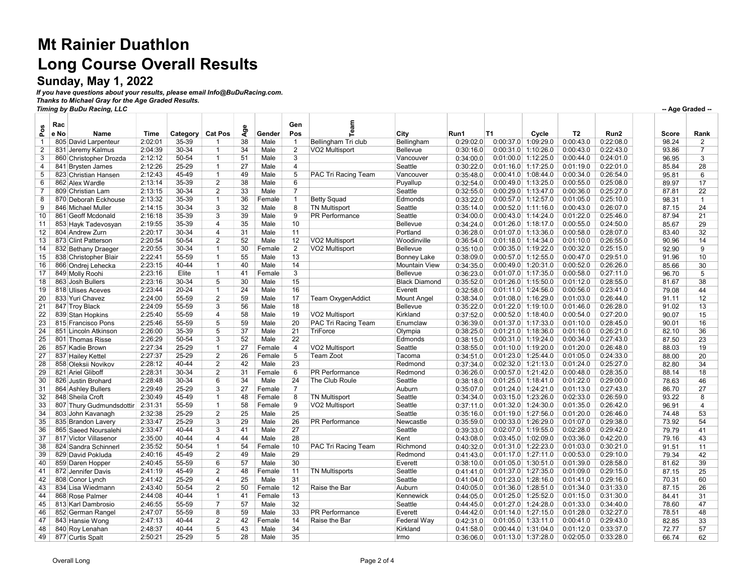# Mt Rainier Duathlon Long Course Overall Results

### Sunday, May 1, 2022

If you have questions about your results, please email Info@BuDuRacing.com. Thanks to Michael Gray for the Age Graded Results.

Timing by BuDu Racing, LLC

| Pos          | Rac<br>e No | Name                     | Time    | Category  | <b>Cat Pos</b> | Φ<br>ই | Gender | Gen<br>Pos     |                          | City                 | Run1      | T1                    | Cycle | T <sub>2</sub> | Run2      | Score | Rank           |
|--------------|-------------|--------------------------|---------|-----------|----------------|--------|--------|----------------|--------------------------|----------------------|-----------|-----------------------|-------|----------------|-----------|-------|----------------|
| $\mathbf{1}$ |             | 805 David Larpenteur     | 2:02:01 | 35-39     | 1              | 38     | Male   | $\overline{1}$ | Bellingham Tri club      | Bellingham           | 0:29:02.0 | 0:00:37.0 1:09:29.0   |       | 0:00:43.0      | 0:22:08.0 | 98.24 | $\overline{2}$ |
| 2            |             | 831 Jeremy Kalmus        | 2:04:39 | 30-34     | 1              | 34     | Male   | $\overline{2}$ | VO2 Multisport           | Bellevue             | 0:30:16.0 | 0:00:31.0 1:10:26.0   |       | 0:00:43.0      | 0:22:43.0 | 93.86 | 7              |
| 3            |             | 860 Christopher Drozda   | 2:12:12 | 50-54     | $\mathbf{1}$   | 51     | Male   | 3              |                          | Vancouver            | 0:34:00.0 | $0:01:00.0$ 1:12:25.0 |       | 0:00:44.0      | 0:24:01.0 | 96.95 | 3              |
| 4            |             | 841 Brysten James        | 2:12:26 | 25-29     | 1              | 27     | Male   | 4              |                          | Seattle              | 0:30:22.0 | 0:01:16.0 1:17:25.0   |       | 0:01:19.0      | 0:22:01.0 | 85.84 | 28             |
| 5            |             | 823 Christian Hansen     | 2:12:43 | 45-49     | 1              | 49     | Male   | 5              | PAC Tri Racing Team      | Vancouver            | 0:35:48.0 | 0:00:41.0 1:08:44.0   |       | 0:00:34.0      | 0:26:54.0 | 95.81 | 6              |
| 6            |             | 862 Alex Wardle          | 2:13:14 | 35-39     | $\overline{2}$ | 38     | Male   | 6              |                          | Puyallup             | 0:32:54.0 | $0:00:49.0$ 1:13:25.0 |       | 0:00:55.0      | 0:25:08.0 | 89.97 | 17             |
| 7            |             | 809 Christian Lam        | 2:13:15 | 30-34     | $\overline{2}$ | 33     | Male   | $\overline{7}$ |                          | Seattle              | 0:32:55.0 | 0:00:29.0 1:13:47.0   |       | 0:00:36.0      | 0:25:27.0 | 87.81 | 22             |
| 8            |             | 870 Deborah Eckhouse     | 2:13:32 | 35-39     | $\mathbf{1}$   | 36     | Female | $\mathbf{1}$   | <b>Betty Squad</b>       | Edmonds              | 0:33:22.0 | $0:00:57.0$ 1:12:57.0 |       | 0:01:05.0      | 0:25:10.0 | 98.31 | $\overline{1}$ |
| 9            |             | 846 Michael Muller       | 2:14:15 | 30-34     | 3              | 32     | Male   | 8              | <b>TN Multisport</b>     | Seattle              | 0:35:14.0 | $0:00:52.0$ 1:11:16.0 |       | 0:00:43.0      | 0:26:07.0 | 87.15 | 24             |
| 10           |             | 861 Geoff Mcdonald       | 2:16:18 | 35-39     | $\overline{3}$ | 39     | Male   | $\overline{9}$ | PR Performance           | Seattle              | 0:34:00.0 | 0:00:43.0 1:14:24.0   |       | 0:01:22.0      | 0:25:46.0 | 87.94 | 21             |
| 11           |             | 853 Hayk Tadevosyan      | 2:19:55 | 35-39     | 4              | 35     | Male   | 10             |                          | Bellevue             | 0:34:24.0 | $0:01:26.0$ 1:18:17.0 |       | 0:00:55.0      | 0:24:50.0 | 85.67 | 29             |
| 12           |             | 804 Andrew Zurn          | 2:20:17 | 30-34     | 4              | 31     | Male   | 11             |                          | Portland             | 0:36:28.0 | 0:01:07.0 1:13:36.0   |       | 0:00:58.0      | 0:28:07.0 | 83.40 | 32             |
| 13           |             | 873 Clint Patterson      | 2:20:54 | 50-54     | $\overline{2}$ | 52     | Male   | 12             | VO2 Multisport           | Woodinville          | 0:36:54.0 | $0:01:18.0$ 1:14:34.0 |       | 0:01:10.0      | 0:26:55.0 | 90.96 | 14             |
| 14           |             | 832 Bethany Draeger      | 2:20:55 | 30-34     | 1              | 30     | Female | $\overline{2}$ | VO2 Multisport           | Bellevue             | 0:35:10.0 | $0:00:35.0$ 1:19:22.0 |       | 0:00:32.0      | 0:25:15.0 | 92.90 | 9              |
| 15           |             | 838 Christopher Blair    | 2:22:41 | 55-59     | $\mathbf{1}$   | 55     | Male   | 13             |                          | <b>Bonney Lake</b>   | 0:38:09.0 | $0:00:57.0$ 1:12:55.0 |       | 0:00:47.0      | 0:29:51.0 | 91.96 | 10             |
| 16           |             | 866 Ondrej Lehecka       | 2:23:15 | 40-44     | $\mathbf{1}$   | 40     | Male   | 14             |                          | <b>Mountain View</b> | 0:34:35.0 | 0:00:49.0 1:20:31.0   |       | 0:00:52.0      | 0:26:26.0 | 85.66 | 30             |
| 17           |             | 849 Molly Roohi          | 2:23:16 | Elite     | $\mathbf{1}$   | 41     | Female | 3              |                          | Bellevue             | 0:36:23.0 | 0:01:07.0 1:17:35.0   |       | 0:00:58.0      | 0:27:11.0 | 96.70 | 5              |
| 18           |             | 863 Josh Bullers         | 2:23:16 | 30-34     | 5              | 30     | Male   | 15             |                          | <b>Black Diamond</b> | 0:35:52.0 | $0:01:26.0$ 1:15:50.0 |       | 0:01:12.0      | 0:28:55.0 | 81.67 | 38             |
| 19           |             | 818 Ulises Aceves        | 2:23:44 | 20-24     | $\mathbf{1}$   | 24     | Male   | 16             |                          | Everett              | 0:32:58.0 | 0:01:11.0 1:24:56.0   |       | 0:00:56.0      | 0:23:41.0 | 79.08 | 44             |
| 20           |             | 833 Yuri Chavez          | 2:24:00 | 55-59     | $\overline{2}$ | 59     | Male   | 17             | <b>Team OxygenAddict</b> | Mount Angel          | 0:38:34.0 | 0:01:08.0 1:16:29.0   |       | 0:01:03.0      | 0:26:44.0 | 91.11 | 12             |
| 21           |             | 847 Troy Black           | 2:24:09 | 55-59     | 3              | 56     | Male   | 18             |                          | Bellevue             | 0:35:22.0 | $0:01:22.0$ 1:19:10.0 |       | 0:01:46.0      | 0:26:28.0 | 91.02 | 13             |
| 22           |             | 839 Stan Hopkins         | 2:25:40 | 55-59     | 4              | 58     | Male   | 19             | VO2 Multisport           | Kirkland             | 0:37:52.0 | $0:00:52.0$ 1:18:40.0 |       | 0:00:54.0      | 0:27:20.0 | 90.07 | 15             |
| 23           |             | 815 Francisco Pons       | 2:25:46 | 55-59     | 5              | 59     | Male   | 20             | PAC Tri Racing Team      | Enumclaw             | 0:36:39.0 | 0:01:37.0 1:17:33.0   |       | 0:01:10.0      | 0:28:45.0 | 90.01 | 16             |
| 24           |             | 851 Lincoln Atkinson     | 2:26:00 | 35-39     | 5              | 37     | Male   | 21             | TriForce                 | Olympia              | 0:38:25.0 | $0:01:21.0$ 1:18:36.0 |       | 0:01:16.0      | 0:26:21.0 | 82.10 | 36             |
| 25           |             | 801 Thomas Risse         | 2:26:29 | 50-54     | 3              | 52     | Male   | 22             |                          | Edmonds              | 0:38:15.0 | 0:00:31.0 1:19:24.0   |       | 0:00:34.0      | 0:27:43.0 | 87.50 | 23             |
| 26           |             | 857 Kadie Brown          | 2:27:34 | 25-29     | $\mathbf{1}$   | 27     | Female | 4              | VO2 Multisport           | Seattle              | 0:38:55.0 | 0:01:10.0 1:19:20.0   |       | 0:01:20.0      | 0:26:48.0 | 88.03 | 19             |
| 27           |             | 837 Hailey Kettel        | 2:27:37 | 25-29     | $\overline{2}$ | 26     | Female | $\sqrt{5}$     | Team Zoot                | Tacoma               | 0:34:51.0 | $0:01:23.0$ 1:25:44.0 |       | 0:01:05.0      | 0:24:33.0 | 88.00 | 20             |
| 28           |             | 858 Oleksii Novikov      | 2:28:12 | 40-44     | $\overline{2}$ | 42     | Male   | 23             |                          | Redmond              | 0:37:34.0 | 0:02:32.0 1:21:13.0   |       | 0:01:24.0      | 0:25:27.0 | 82.80 | 34             |
| 29           |             | 821 Ariel Gliboff        | 2:28:31 | 30-34     | $\overline{2}$ | 31     | Female | 6              | PR Performance           | Redmond              | 0:36:26.0 | $0:00:57.0$ 1:21:42.0 |       | 0:00:48.0      | 0:28:35.0 | 88.14 | 18             |
| 30           |             | 826 Justin Brohard       | 2:28:48 | 30-34     | 6              | 34     | Male   | 24             | The Club Roule           | Seattle              | 0:38:18.0 | $0:01:25.0$ 1:18:41.0 |       | 0:01:22.0      | 0:29:00.0 | 78.63 | 46             |
| 31           |             | 864 Ashley Bullers       | 2:29:49 | 25-29     | 3              | 27     | Female | $\overline{7}$ |                          | Auburn               | 0:35:07.0 | $0:01:24.0$ 1:24:21.0 |       | 0:01:13.0      | 0:27:43.0 | 86.70 | 27             |
| 32           |             | 848 Sheila Croft         | 2:30:49 | 45-49     | $\mathbf{1}$   | 48     | Female | 8              | <b>TN Multisport</b>     | Seattle              | 0:34:34.0 | 0:03:15.0 1:23:26.0   |       | 0:02:33.0      | 0:26:59.0 | 93.22 | 8              |
| 33           |             | 807 Thury Gudmundsdottir | 2:31:31 | 55-59     | 1              | 58     | Female | 9              | VO2 Multisport           | Seattle              | 0:37:11.0 | 0:01:32.0 1:24:30.0   |       | 0:01:35.0      | 0:26:42.0 | 96.91 | 4              |
| 34           |             | 803 John Kavanagh        | 2:32:38 | 25-29     | $\overline{2}$ | 25     | Male   | 25             |                          | Seattle              | 0:35:16.0 | $0:01:19.0$ 1:27:56.0 |       | 0:01:20.0      | 0:26:46.0 | 74.48 | 53             |
| 35           |             | 835 Brandon Lavery       | 2:33:47 | 25-29     | $\overline{3}$ | 29     | Male   | 26             | <b>PR Performance</b>    | Newcastle            | 0:35:59.0 | $0:00:33.0$ 1:26:29.0 |       | 0:01:07.0      | 0:29:38.0 | 73.92 | 54             |
| 36           |             | 865 Saeed Noursalehi     | 2:33:47 | 40-44     | 3              | 41     | Male   | 27             |                          | Seattle              | 0:39:33.0 | 0:02:07.0 1:19:55.0   |       | 0:02:28.0      | 0:29:42.0 | 79.79 | 41             |
| 37           |             | 817 Victor Villasenor    | 2:35:00 | 40-44     | 4              | 44     | Male   | 28             |                          | Kent                 | 0:43:08.0 | 0:03:45.0 1:02:09.0   |       | 0:03:36.0      | 0:42:20.0 | 79.16 | 43             |
| 38           |             | 824 Sandra Schinnerl     | 2:35:52 | 50-54     | 1              | 54     | Female | 10             | PAC Tri Racing Team      | Richmond             | 0:40:32.0 | $0:01:31.0$ 1:22:23.0 |       | 0:01:03.0      | 0:30:21.0 | 91.51 | 11             |
| 39           |             | 829 David Pokluda        | 2:40:16 | 45-49     | $\overline{2}$ | 49     | Male   | 29             |                          | Redmond              | 0:41:43.0 | $0:01:17.0$ 1:27:11.0 |       | 0:00:53.0      | 0:29:10.0 | 79.34 | 42             |
| 40           |             | 859 Daren Hopper         | 2:40:45 | 55-59     | 6              | 57     | Male   | 30             |                          | Everett              | 0:38:10.0 | $0:01:05.0$ 1:30:51.0 |       | 0:01:39.0      | 0:28:58.0 | 81.62 | 39             |
| 41           |             | 872 Jennifer Davis       | 2:41:19 | 45-49     | $\overline{2}$ | 48     | Female | 11             | <b>TN Multisports</b>    | Seattle              | 0:41:41.0 | 0:01:37.0 1:27:35.0   |       | 0:01:09.0      | 0:29:15.0 | 87.15 | 25             |
| 42           |             | 808 Conor Lynch          | 2:41:42 | 25-29     | 4              | 25     | Male   | 31             |                          | Seattle              | 0:41:04.0 | $0:01:23.0$ 1:28:16.0 |       | 0:01:41.0      | 0:29:16.0 | 70.31 | 60             |
| 43           |             | 834 Lisa Wiedmann        | 2:43:40 | 50-54     | $\overline{2}$ | 50     | Female | 12             | Raise the Bar            | Auburn               | 0:40:05.0 | $0:01:36.0$ 1:28:51.0 |       | 0:01:34.0      | 0:31:33.0 | 87.15 | 26             |
| 44           |             | 868 Rose Palmer          | 2:44:08 | 40-44     | $\mathbf{1}$   | 41     | Female | 13             |                          | Kennewick            | 0:44:05.0 | $0:01:25.0$ 1:25:52.0 |       | 0:01:15.0      | 0:31:30.0 | 84.41 | 31             |
| 45           |             | 813 Karl Dambrosio       | 2:46:55 | 55-59     | $\overline{7}$ | 57     | Male   | 32             |                          | Seattle              | 0:44:45.0 | 0:01:27.0 1:24:28.0   |       | 0:01:33.0      | 0:34:40.0 | 78.60 | 47             |
| 46           |             | 852 German Rangel        | 2:47:07 | 55-59     | 8              | 59     | Male   | 33             | <b>PR Performance</b>    | Everett              | 0:44:42.0 | $0:01:14.0$ 1:27:15.0 |       | 0:01:28.0      | 0:32:27.0 | 78.51 | 48             |
| 47           |             | 843 Hansie Wong          | 2:47:13 | 40-44     | $\overline{2}$ | 42     | Female | 14             | Raise the Bar            | Federal Way          | 0:42:31.0 | $0:01:05.0$ 1:33:11.0 |       | 0:00:41.0      | 0:29:43.0 | 82.85 | 33             |
| 48           |             | 840 Roy Lenahan          | 2:48:37 | $40 - 44$ | 5              | 43     | Male   | 34             |                          | Kirkland             | 0:41:58.0 | 0:00:44.0 1:31:04.0   |       | 0:01:12.0      | 0:33:37.0 | 72.77 | 57             |
| 49           |             | 877 Curtis Spalt         | 2:50:21 | 25-29     | 5              | 28     | Male   | 35             |                          | Irmo                 | 0:36:06.0 | $0:01:13.0$ 1:37:28.0 |       | 0:02:05.0      | 0:33:28.0 | 66.74 | 62             |
|              |             |                          |         |           |                |        |        |                |                          |                      |           |                       |       |                |           |       |                |

-- Age Graded --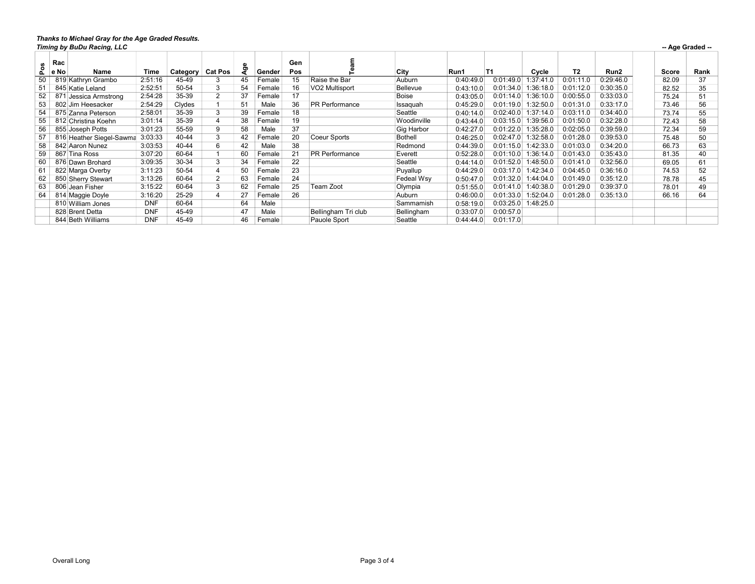#### Thanks to Michael Gray for the Age Graded Results.

|           | -- Age Graded --<br>Timing by BuDu Racing, LLC |            |          |                |    |        |            |                       |                 |           |           |          |                |                  |       |      |
|-----------|------------------------------------------------|------------|----------|----------------|----|--------|------------|-----------------------|-----------------|-----------|-----------|----------|----------------|------------------|-------|------|
| ပ္မ<br>Δ. | Rac<br>e No<br>Name                            | Time       | Category | <b>Cat Pos</b> | œ  | Gender | Gen<br>Pos |                       | City            | Run1      | <b>T1</b> | Cycle    | T <sub>2</sub> | Run <sub>2</sub> | Score | Rank |
| 50        | 819 Kathryn Grambo                             | 2:51:16    | 45-49    | 3              | 45 | Female | 15         | Raise the Bar         | Auburn          | 0:40:49.0 | 0:01:49.0 | :37:41.0 | 0:01:11.0      | 0:29:46.0        | 82.09 | 37   |
| 51        | 845 Katie Leland                               | 2:52:51    | 50-54    | 3              | 54 | Female | 16         | VO2 Multisport        | <b>Bellevue</b> | 0:43:10.0 | 0:01:34.0 | :36:18.0 | 0:01:12.0      | 0:30:35.0        | 82.52 | 35   |
| 52        | 871 Jessica Armstrong                          | 2:54:28    | 35-39    | 2              | 37 | Female | 17         |                       | Boise           | 0:43:05.0 | 0:01:14.0 | :36:10.0 | 0:00:55.0      | 0:33:03.0        | 75.24 | 51   |
| 53        | 802 Jim Heesacker                              | 2:54:29    | Clydes   |                | 51 | Male   | 36         | <b>PR Performance</b> | Issaquah        | 0:45:29.0 | 0:01:19.0 | :32:50.0 | 0:01:31.0      | 0:33:17.0        | 73.46 | 56   |
| 54        | 875 Zanna Peterson                             | 2:58:01    | 35-39    | 3              | 39 | Female | 18         |                       | Seattle         | 0:40:14.0 | 0:02:40.0 | :37:14.0 | 0:03:11.0      | 0:34:40.0        | 73.74 | 55   |
| 55        | 812 Christina Koehn                            | 3:01:14    | 35-39    | $\overline{4}$ | 38 | Female | 19         |                       | Woodinville     | 0:43:44.0 | 0:03:15.0 | :39:56.0 | 0:01:50.0      | 0:32:28.0        | 72.43 | 58   |
| 56        | 855 Joseph Potts                               | 3:01:23    | 55-59    | 9              | 58 | Male   | 37         |                       | Gig Harbor      | 0:42:27.0 | 0:01:22.0 | :35:28.0 | 0:02:05.0      | 0:39:59.0        | 72.34 | 59   |
| 57        | 816 Heather Siegel-Sawma                       | 3:03:33    | 40-44    | 3              | 42 | Female | 20         | Coeur Sports          | Bothell         | 0:46:25.0 | 0:02:47.0 | :32:58.0 | 0:01:28.0      | 0:39:53.0        | 75.48 | 50   |
| 58        | 842 Aaron Nunez                                | 3:03:53    | 40-44    | 6              | 42 | Male   | 38         |                       | Redmond         | 0:44:39.0 | 0:01:15.0 | :42:33.0 | 0:01:03.0      | 0:34:20.0        | 66.73 | 63   |
| 59        | 867 Tina Ross                                  | 3:07:20    | 60-64    |                | 60 | Female | 21         | <b>PR Performance</b> | Everett         | 0:52:28.0 | 0:01:10.0 | :36:14.0 | 0:01:43.0      | 0:35:43.0        | 81.35 | 40   |
| 60        | 876 Dawn Brohard                               | 3:09:35    | 30-34    | 3              | 34 | Female | 22         |                       | Seattle         | 0:44:14.0 | 0:01:52.0 | :48:50.0 | 0:01:41.0      | 0:32:56.0        | 69.05 | 61   |
| 61        | 822 Marga Overby                               | 3:11:23    | 50-54    | $\overline{4}$ | 50 | Female | 23         |                       | Puyallup        | 0:44:29.0 | 0:03:17.0 | :42:34.0 | 0:04:45.0      | 0:36:16.0        | 74.53 | 52   |
| 62        | 850 Sherry Stewart                             | 3:13:26    | 60-64    | $\overline{2}$ | 63 | Female | 24         |                       | Fedeal Wsv      | 0:50:47.0 | 0:01:32.0 | :44:04.0 | 0:01:49.0      | 0:35:12.0        | 78.78 | 45   |
| 63        | 806 Jean Fisher                                | 3:15:22    | 60-64    | 3              | 62 | Female | 25         | Team Zoot             | Olympia         | 0:51:55.0 | 0:01:41.0 | :40:38.0 | 0:01:29.0      | 0:39:37.0        | 78.01 | 49   |
| 64        | 814 Maggie Doyle                               | 3:16:20    | 25-29    | $\overline{4}$ |    | Female | 26         |                       | Auburn          | 0:46:00.0 | 0:01:33.0 | :52:04.0 | 0:01:28.0      | 0:35:13.0        | 66.16 | 64   |
|           | 810 William Jones                              | <b>DNF</b> | 60-64    |                | 64 | Male   |            |                       | Sammamish       | 0:58:19.0 | 0:03:25.0 | :48:25.0 |                |                  |       |      |
|           | 828 Brent Detta                                | <b>DNF</b> | 45-49    |                | 47 | Male   |            | Bellingham Tri club   | Bellingham      | 0:33:07.0 | 0:00:57.0 |          |                |                  |       |      |
|           | 844 Beth Williams                              | <b>DNF</b> | 45-49    |                | 46 | Female |            | Pauole Sport          | Seattle         | 0:44:44.0 | 0:01:17.0 |          |                |                  |       |      |